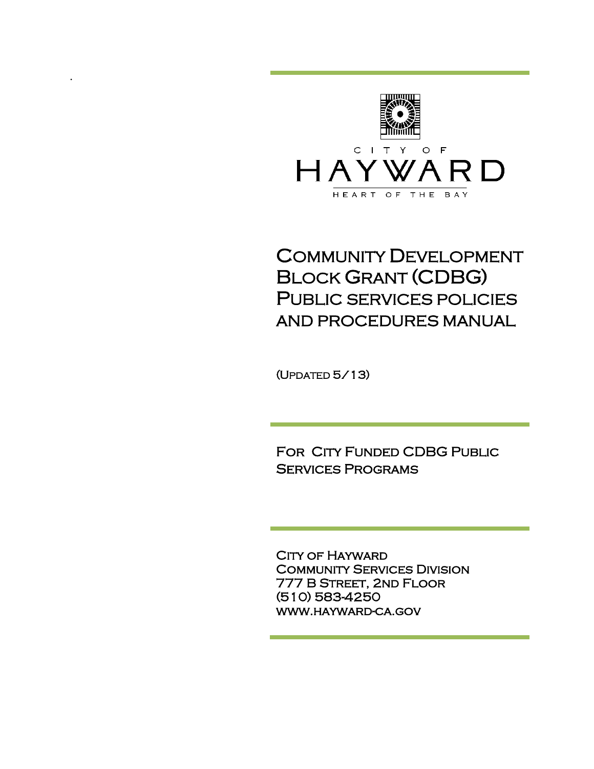

# COMMUNITY DEVELOPMENT BLOCK GRANT (CDBG) PUBLIC SERVICES POLICIES AND PROCEDURES MANUAL

(UPDATED 5/13) i<br>D

.

FOR CITY FUNDED CDBG PUBLIC Services Programs

CITY OF HAYWARD Community Services Division 777 B Street, 2nd Floor (510) 583-4250 www.hayward-ca.gov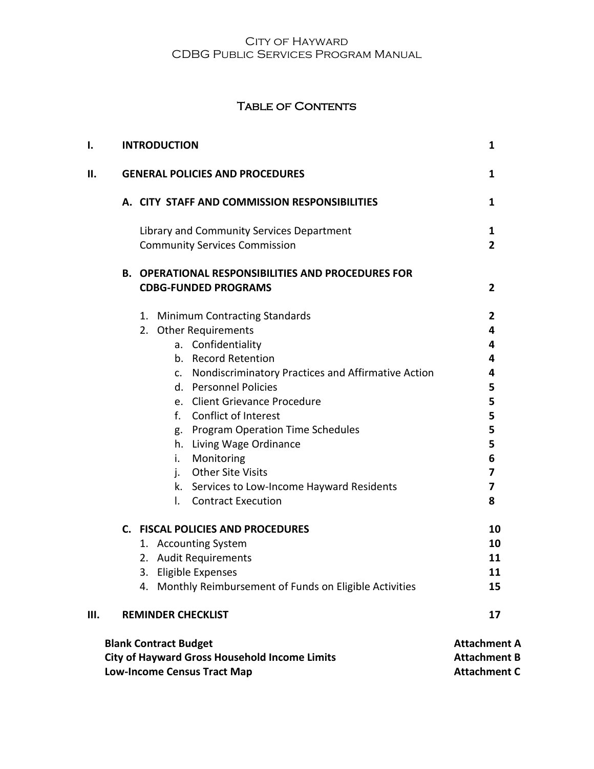### TABLE OF CONTENTS

| I. | <b>INTRODUCTION</b>                                                                                                                                                                                                                                                                                                                                                                                                                                                          | 1                                                                  |
|----|------------------------------------------------------------------------------------------------------------------------------------------------------------------------------------------------------------------------------------------------------------------------------------------------------------------------------------------------------------------------------------------------------------------------------------------------------------------------------|--------------------------------------------------------------------|
| н. | <b>GENERAL POLICIES AND PROCEDURES</b>                                                                                                                                                                                                                                                                                                                                                                                                                                       | 1                                                                  |
|    | A. CITY STAFF AND COMMISSION RESPONSIBILITIES                                                                                                                                                                                                                                                                                                                                                                                                                                | 1                                                                  |
|    | Library and Community Services Department<br><b>Community Services Commission</b>                                                                                                                                                                                                                                                                                                                                                                                            | $\mathbf{1}$<br>$\overline{2}$                                     |
|    | <b>B. OPERATIONAL RESPONSIBILITIES AND PROCEDURES FOR</b><br><b>CDBG-FUNDED PROGRAMS</b>                                                                                                                                                                                                                                                                                                                                                                                     | 2                                                                  |
|    | 1. Minimum Contracting Standards<br>2. Other Requirements<br>a. Confidentiality<br>b. Record Retention<br>Nondiscriminatory Practices and Affirmative Action<br>c.<br>d. Personnel Policies<br>e. Client Grievance Procedure<br><b>Conflict of Interest</b><br>f.<br>g. Program Operation Time Schedules<br>h. Living Wage Ordinance<br>i.<br>Monitoring<br><b>Other Site Visits</b><br>j.<br>k. Services to Low-Income Hayward Residents<br><b>Contract Execution</b><br>I. | 2<br>4<br>4<br>4<br>4<br>5<br>5<br>5<br>5<br>5<br>6<br>7<br>7<br>8 |
| Ш. | <b>C. FISCAL POLICIES AND PROCEDURES</b><br>1. Accounting System<br>2. Audit Requirements<br>Eligible Expenses<br>3.<br>4. Monthly Reimbursement of Funds on Eligible Activities<br><b>REMINDER CHECKLIST</b>                                                                                                                                                                                                                                                                | 10<br>10<br>11<br>11<br>15<br>17                                   |
|    | <b>Blank Contract Budget</b><br>City of Hayward Gross Household Income Limits<br><b>Low-Income Census Tract Map</b>                                                                                                                                                                                                                                                                                                                                                          | <b>Attachment A</b><br><b>Attachment B</b><br><b>Attachment C</b>  |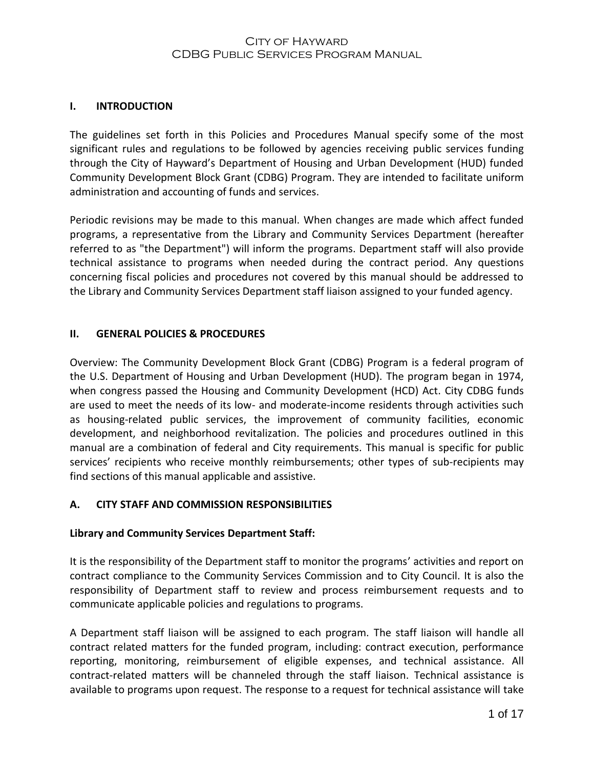#### **I. INTRODUCTION**

The guidelines set forth in this Policies and Procedures Manual specify some of the most significant rules and regulations to be followed by agencies receiving public services funding through the City of Hayward's Department of Housing and Urban Development (HUD) funded Community Development Block Grant (CDBG) Program. They are intended to facilitate uniform administration and accounting of funds and services.

Periodic revisions may be made to this manual. When changes are made which affect funded programs, a representative from the Library and Community Services Department (hereafter referred to as "the Department") will inform the programs. Department staff will also provide technical assistance to programs when needed during the contract period. Any questions concerning fiscal policies and procedures not covered by this manual should be addressed to the Library and Community Services Department staff liaison assigned to your funded agency.

#### **II. GENERAL POLICIES & PROCEDURES**

Overview: The Community Development Block Grant (CDBG) Program is a federal program of the U.S. Department of Housing and Urban Development (HUD). The program began in 1974, when congress passed the Housing and Community Development (HCD) Act. City CDBG funds are used to meet the needs of its low- and moderate-income residents through activities such as housing-related public services, the improvement of community facilities, economic development, and neighborhood revitalization. The policies and procedures outlined in this manual are a combination of federal and City requirements. This manual is specific for public services' recipients who receive monthly reimbursements; other types of sub-recipients may find sections of this manual applicable and assistive.

#### **A. CITY STAFF AND COMMISSION RESPONSIBILITIES**

#### **Library and Community Services Department Staff:**

It is the responsibility of the Department staff to monitor the programs' activities and report on contract compliance to the Community Services Commission and to City Council. It is also the responsibility of Department staff to review and process reimbursement requests and to communicate applicable policies and regulations to programs.

A Department staff liaison will be assigned to each program. The staff liaison will handle all contract related matters for the funded program, including: contract execution, performance reporting, monitoring, reimbursement of eligible expenses, and technical assistance. All contract-related matters will be channeled through the staff liaison. Technical assistance is available to programs upon request. The response to a request for technical assistance will take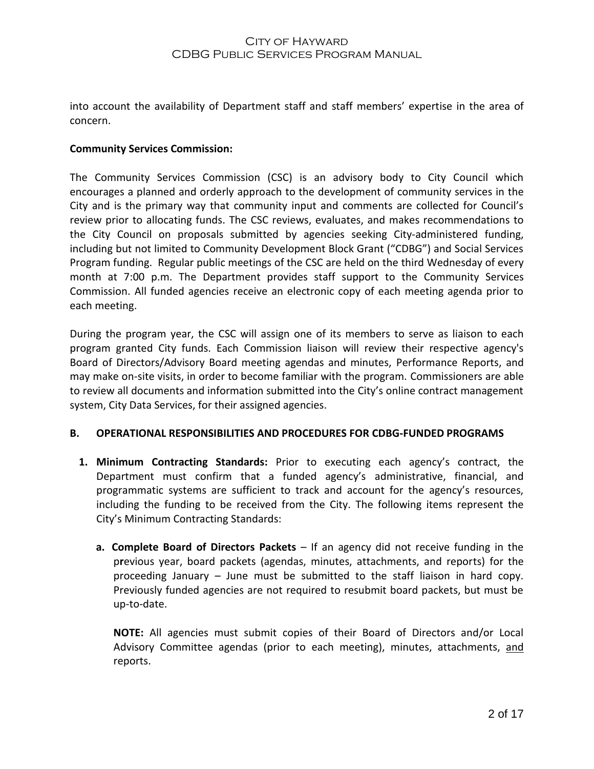into account the availability of Department staff and staff members' expertise in the area of concern.

#### **Community Services Commission:**

The Community Services Commission (CSC) is an advisory body to City Council which encourages a planned and orderly approach to the development of community services in the City and is the primary way that community input and comments are collected for Council's review prior to allocating funds. The CSC reviews, evaluates, and makes recommendations to the City Council on proposals submitted by agencies seeking City-administered funding, including but not limited to Community Development Block Grant ("CDBG") and Social Services Program funding. Regular public meetings of the CSC are held on the third Wednesday of every month at 7:00 p.m. The Department provides staff support to the Community Services Commission. All funded agencies receive an electronic copy of each meeting agenda prior to each meeting.

During the program year, the CSC will assign one of its members to serve as liaison to each program granted City funds. Each Commission liaison will review their respective agency's Board of Directors/Advisory Board meeting agendas and minutes, Performance Reports, and may make on-site visits, in order to become familiar with the program. Commissioners are able to review all documents and information submitted into the City's online contract management system, City Data Services, for their assigned agencies.

#### **B. OPERATIONAL RESPONSIBILITIES AND PROCEDURES FOR CDBG-FUNDED PROGRAMS**

- **1. Minimum Contracting Standards:** Prior to executing each agency's contract, the Department must confirm that a funded agency's administrative, financial, and programmatic systems are sufficient to track and account for the agency's resources, including the funding to be received from the City. The following items represent the City's Minimum Contracting Standards:
	- **a. Complete Board of Directors Packets** If an agency did not receive funding in the p**r**evious year, board packets (agendas, minutes, attachments, and reports) for the proceeding January – June must be submitted to the staff liaison in hard copy. Previously funded agencies are not required to resubmit board packets, but must be up-to-date.

**NOTE:** All agencies must submit copies of their Board of Directors and/or Local Advisory Committee agendas (prior to each meeting), minutes, attachments, and reports.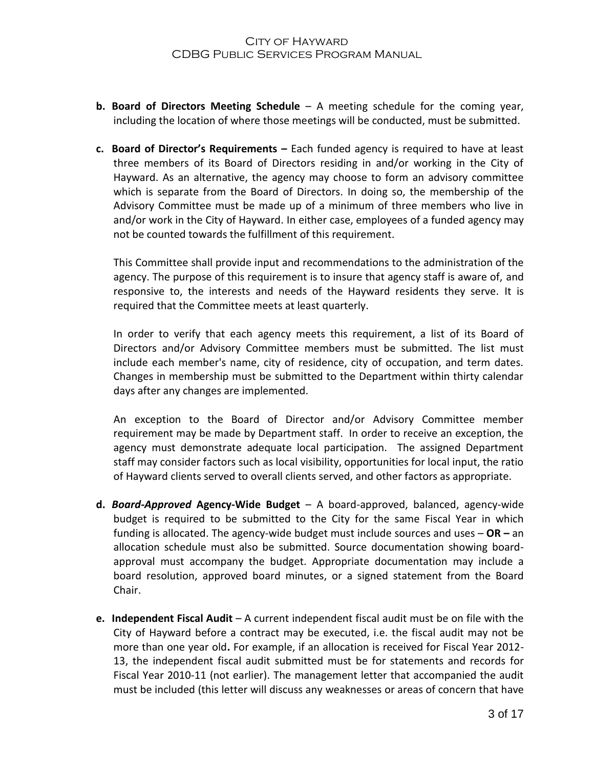- **b. Board of Directors Meeting Schedule** A meeting schedule for the coming year, including the location of where those meetings will be conducted, must be submitted.
- **c. Board of Director's Requirements –** Each funded agency is required to have at least three members of its Board of Directors residing in and/or working in the City of Hayward. As an alternative, the agency may choose to form an advisory committee which is separate from the Board of Directors. In doing so, the membership of the Advisory Committee must be made up of a minimum of three members who live in and/or work in the City of Hayward. In either case, employees of a funded agency may not be counted towards the fulfillment of this requirement.

This Committee shall provide input and recommendations to the administration of the agency. The purpose of this requirement is to insure that agency staff is aware of, and responsive to, the interests and needs of the Hayward residents they serve. It is required that the Committee meets at least quarterly.

In order to verify that each agency meets this requirement, a list of its Board of Directors and/or Advisory Committee members must be submitted. The list must include each member's name, city of residence, city of occupation, and term dates. Changes in membership must be submitted to the Department within thirty calendar days after any changes are implemented.

An exception to the Board of Director and/or Advisory Committee member requirement may be made by Department staff. In order to receive an exception, the agency must demonstrate adequate local participation. The assigned Department staff may consider factors such as local visibility, opportunities for local input, the ratio of Hayward clients served to overall clients served, and other factors as appropriate.

- **d.** *Board-Approved* **Agency-Wide Budget**  A board-approved, balanced, agency-wide budget is required to be submitted to the City for the same Fiscal Year in which funding is allocated. The agency-wide budget must include sources and uses – **OR –** an allocation schedule must also be submitted. Source documentation showing boardapproval must accompany the budget. Appropriate documentation may include a board resolution, approved board minutes, or a signed statement from the Board Chair.
- **e. Independent Fiscal Audit** A current independent fiscal audit must be on file with the City of Hayward before a contract may be executed, i.e. the fiscal audit may not be more than one year old**.** For example, if an allocation is received for Fiscal Year 2012- 13, the independent fiscal audit submitted must be for statements and records for Fiscal Year 2010-11 (not earlier). The management letter that accompanied the audit must be included (this letter will discuss any weaknesses or areas of concern that have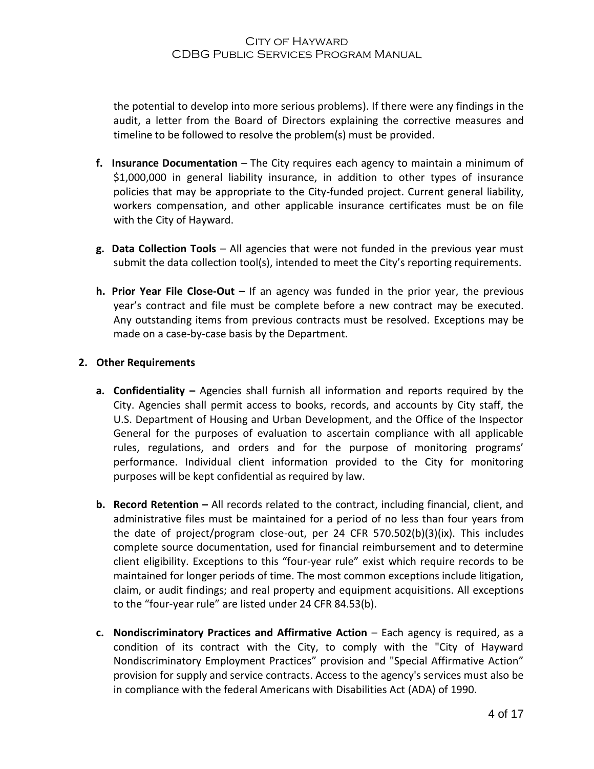the potential to develop into more serious problems). If there were any findings in the audit, a letter from the Board of Directors explaining the corrective measures and timeline to be followed to resolve the problem(s) must be provided.

- **f. Insurance Documentation** *–* The City requires each agency to maintain a minimum of \$1,000,000 in general liability insurance, in addition to other types of insurance policies that may be appropriate to the City-funded project. Current general liability, workers compensation, and other applicable insurance certificates must be on file with the City of Hayward.
- **g. Data Collection Tools** All agencies that were not funded in the previous year must submit the data collection tool(s), intended to meet the City's reporting requirements.
- **h. Prior Year File Close-Out –** If an agency was funded in the prior year, the previous year's contract and file must be complete before a new contract may be executed. Any outstanding items from previous contracts must be resolved. Exceptions may be made on a case-by-case basis by the Department.

#### **2. Other Requirements**

- **a. Confidentiality –** Agencies shall furnish all information and reports required by the City. Agencies shall permit access to books, records, and accounts by City staff, the U.S. Department of Housing and Urban Development, and the Office of the Inspector General for the purposes of evaluation to ascertain compliance with all applicable rules, regulations, and orders and for the purpose of monitoring programs' performance. Individual client information provided to the City for monitoring purposes will be kept confidential as required by law.
- **b.** Record Retention All records related to the contract, including financial, client, and administrative files must be maintained for a period of no less than four years from the date of project/program close-out, per 24 CFR 570.502(b)(3)(ix). This includes complete source documentation, used for financial reimbursement and to determine client eligibility. Exceptions to this "four-year rule" exist which require records to be maintained for longer periods of time. The most common exceptions include litigation, claim, or audit findings; and real property and equipment acquisitions. All exceptions to the "four-year rule" are listed under 24 CFR 84.53(b).
- **c. Nondiscriminatory Practices and Affirmative Action** Each agency is required, as a condition of its contract with the City, to comply with the "City of Hayward Nondiscriminatory Employment Practices" provision and "Special Affirmative Action" provision for supply and service contracts. Access to the agency's services must also be in compliance with the federal Americans with Disabilities Act (ADA) of 1990.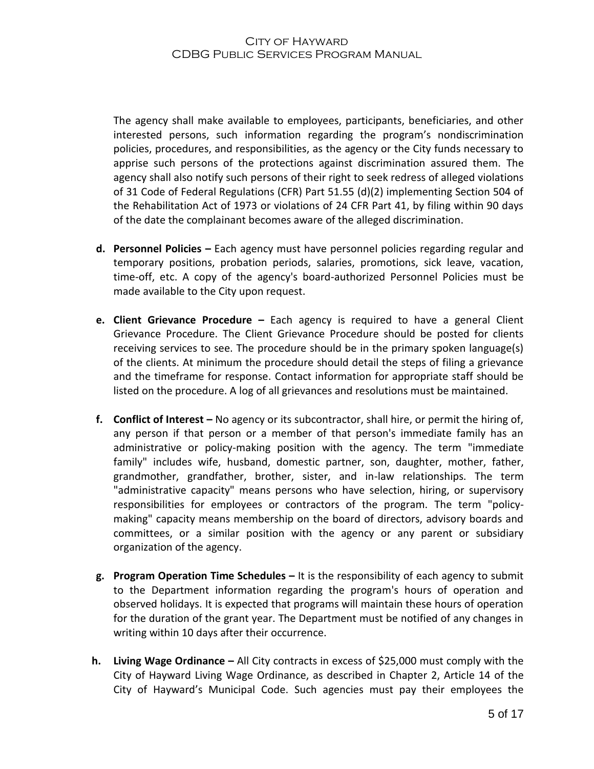The agency shall make available to employees, participants, beneficiaries, and other interested persons, such information regarding the program's nondiscrimination policies, procedures, and responsibilities, as the agency or the City funds necessary to apprise such persons of the protections against discrimination assured them. The agency shall also notify such persons of their right to seek redress of alleged violations of 31 Code of Federal Regulations (CFR) Part 51.55 (d)(2) implementing Section 504 of the Rehabilitation Act of 1973 or violations of 24 CFR Part 41, by filing within 90 days of the date the complainant becomes aware of the alleged discrimination.

- **d. Personnel Policies –** Each agency must have personnel policies regarding regular and temporary positions, probation periods, salaries, promotions, sick leave, vacation, time-off, etc. A copy of the agency's board-authorized Personnel Policies must be made available to the City upon request.
- **e. Client Grievance Procedure –** Each agency is required to have a general Client Grievance Procedure. The Client Grievance Procedure should be posted for clients receiving services to see. The procedure should be in the primary spoken language(s) of the clients. At minimum the procedure should detail the steps of filing a grievance and the timeframe for response. Contact information for appropriate staff should be listed on the procedure. A log of all grievances and resolutions must be maintained.
- **f. Conflict of Interest –** No agency or its subcontractor, shall hire, or permit the hiring of, any person if that person or a member of that person's immediate family has an administrative or policy-making position with the agency. The term "immediate family" includes wife, husband, domestic partner, son, daughter, mother, father, grandmother, grandfather, brother, sister, and in-law relationships. The term "administrative capacity" means persons who have selection, hiring, or supervisory responsibilities for employees or contractors of the program. The term "policymaking" capacity means membership on the board of directors, advisory boards and committees, or a similar position with the agency or any parent or subsidiary organization of the agency.
- **g. Program Operation Time Schedules –** It is the responsibility of each agency to submit to the Department information regarding the program's hours of operation and observed holidays. It is expected that programs will maintain these hours of operation for the duration of the grant year. The Department must be notified of any changes in writing within 10 days after their occurrence.
- **h. Living Wage Ordinance –** All City contracts in excess of \$25,000 must comply with the City of Hayward Living Wage Ordinance, as described in Chapter 2, Article 14 of the City of Hayward's Municipal Code. Such agencies must pay their employees the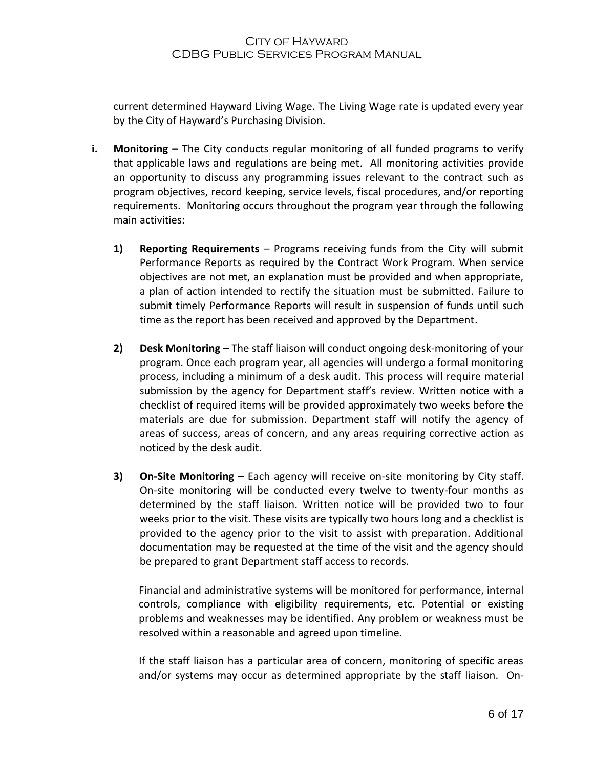current determined Hayward Living Wage. The Living Wage rate is updated every year by the City of Hayward's Purchasing Division.

- **i.** Monitoring The City conducts regular monitoring of all funded programs to verify that applicable laws and regulations are being met. All monitoring activities provide an opportunity to discuss any programming issues relevant to the contract such as program objectives, record keeping, service levels, fiscal procedures, and/or reporting requirements. Monitoring occurs throughout the program year through the following main activities:
	- **1) Reporting Requirements** Programs receiving funds from the City will submit Performance Reports as required by the Contract Work Program. When service objectives are not met, an explanation must be provided and when appropriate, a plan of action intended to rectify the situation must be submitted. Failure to submit timely Performance Reports will result in suspension of funds until such time as the report has been received and approved by the Department.
	- **2) Desk Monitoring –** The staff liaison will conduct ongoing desk-monitoring of your program. Once each program year, all agencies will undergo a formal monitoring process, including a minimum of a desk audit. This process will require material submission by the agency for Department staff's review. Written notice with a checklist of required items will be provided approximately two weeks before the materials are due for submission. Department staff will notify the agency of areas of success, areas of concern, and any areas requiring corrective action as noticed by the desk audit.
	- **3) On-Site Monitoring** Each agency will receive on-site monitoring by City staff. On-site monitoring will be conducted every twelve to twenty-four months as determined by the staff liaison. Written notice will be provided two to four weeks prior to the visit. These visits are typically two hours long and a checklist is provided to the agency prior to the visit to assist with preparation. Additional documentation may be requested at the time of the visit and the agency should be prepared to grant Department staff access to records.

Financial and administrative systems will be monitored for performance, internal controls, compliance with eligibility requirements, etc. Potential or existing problems and weaknesses may be identified. Any problem or weakness must be resolved within a reasonable and agreed upon timeline.

If the staff liaison has a particular area of concern, monitoring of specific areas and/or systems may occur as determined appropriate by the staff liaison. On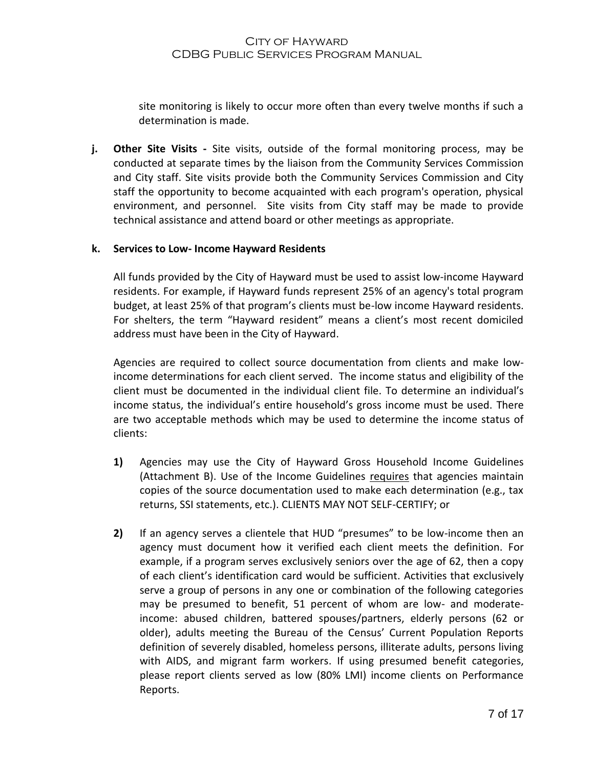site monitoring is likely to occur more often than every twelve months if such a determination is made.

**j. Other Site Visits -** Site visits, outside of the formal monitoring process, may be conducted at separate times by the liaison from the Community Services Commission and City staff. Site visits provide both the Community Services Commission and City staff the opportunity to become acquainted with each program's operation, physical environment, and personnel. Site visits from City staff may be made to provide technical assistance and attend board or other meetings as appropriate.

#### **k. Services to Low- Income Hayward Residents**

All funds provided by the City of Hayward must be used to assist low-income Hayward residents. For example, if Hayward funds represent 25% of an agency's total program budget, at least 25% of that program's clients must be-low income Hayward residents. For shelters, the term "Hayward resident" means a client's most recent domiciled address must have been in the City of Hayward.

Agencies are required to collect source documentation from clients and make lowincome determinations for each client served. The income status and eligibility of the client must be documented in the individual client file. To determine an individual's income status, the individual's entire household's gross income must be used. There are two acceptable methods which may be used to determine the income status of clients:

- **1)** Agencies may use the City of Hayward Gross Household Income Guidelines (Attachment B). Use of the Income Guidelines requires that agencies maintain copies of the source documentation used to make each determination (e.g., tax returns, SSI statements, etc.). CLIENTS MAY NOT SELF-CERTIFY; or
- **2)** If an agency serves a clientele that HUD "presumes" to be low-income then an agency must document how it verified each client meets the definition. For example, if a program serves exclusively seniors over the age of 62, then a copy of each client's identification card would be sufficient. Activities that exclusively serve a group of persons in any one or combination of the following categories may be presumed to benefit, 51 percent of whom are low- and moderateincome: abused children, battered spouses/partners, elderly persons (62 or older), adults meeting the Bureau of the Census' Current Population Reports definition of severely disabled, homeless persons, illiterate adults, persons living with AIDS, and migrant farm workers. If using presumed benefit categories, please report clients served as low (80% LMI) income clients on Performance Reports.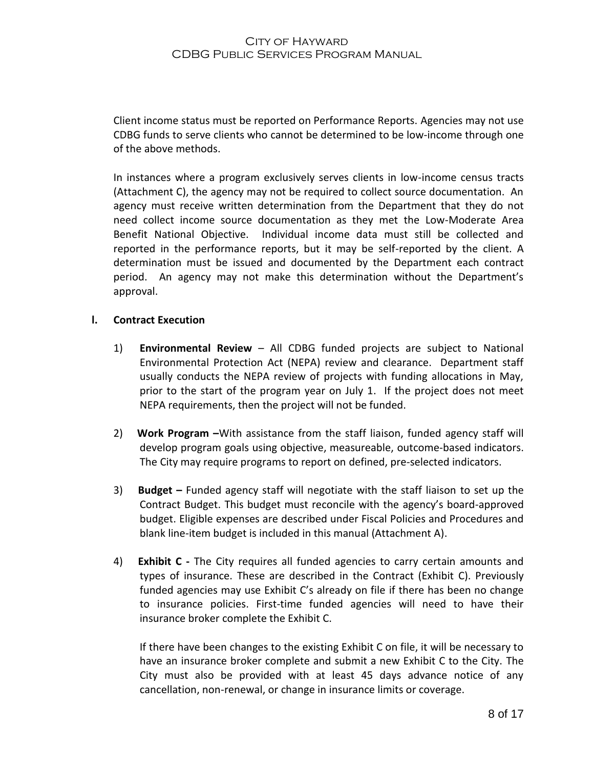Client income status must be reported on Performance Reports. Agencies may not use CDBG funds to serve clients who cannot be determined to be low-income through one of the above methods.

In instances where a program exclusively serves clients in low-income census tracts (Attachment C), the agency may not be required to collect source documentation. An agency must receive written determination from the Department that they do not need collect income source documentation as they met the Low-Moderate Area Benefit National Objective. Individual income data must still be collected and reported in the performance reports, but it may be self-reported by the client. A determination must be issued and documented by the Department each contract period. An agency may not make this determination without the Department's approval.

#### **l. Contract Execution**

- 1) **Environmental Review**  All CDBG funded projects are subject to National Environmental Protection Act (NEPA) review and clearance. Department staff usually conducts the NEPA review of projects with funding allocations in May, prior to the start of the program year on July 1. If the project does not meet NEPA requirements, then the project will not be funded.
- 2) **Work Program –**With assistance from the staff liaison, funded agency staff will develop program goals using objective, measureable, outcome-based indicators. The City may require programs to report on defined, pre-selected indicators.
- 3) **Budget –** Funded agency staff will negotiate with the staff liaison to set up the Contract Budget. This budget must reconcile with the agency's board-approved budget. Eligible expenses are described under Fiscal Policies and Procedures and blank line-item budget is included in this manual (Attachment A).
- 4) **Exhibit C -** The City requires all funded agencies to carry certain amounts and types of insurance. These are described in the Contract (Exhibit C). Previously funded agencies may use Exhibit C's already on file if there has been no change to insurance policies. First-time funded agencies will need to have their insurance broker complete the Exhibit C.

If there have been changes to the existing Exhibit C on file, it will be necessary to have an insurance broker complete and submit a new Exhibit C to the City. The City must also be provided with at least 45 days advance notice of any cancellation, non-renewal, or change in insurance limits or coverage.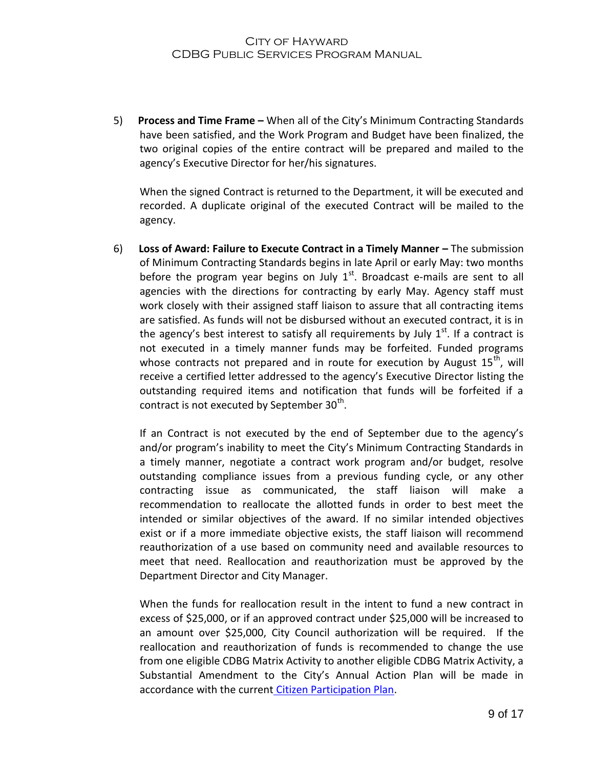5) **Process and Time Frame –** When all of the City's Minimum Contracting Standards have been satisfied, and the Work Program and Budget have been finalized, the two original copies of the entire contract will be prepared and mailed to the agency's Executive Director for her/his signatures.

When the signed Contract is returned to the Department, it will be executed and recorded. A duplicate original of the executed Contract will be mailed to the agency.

6) **Loss of Award: Failure to Execute Contract in a Timely Manner –** The submission of Minimum Contracting Standards begins in late April or early May: two months before the program year begins on July  $1<sup>st</sup>$ . Broadcast e-mails are sent to all agencies with the directions for contracting by early May. Agency staff must work closely with their assigned staff liaison to assure that all contracting items are satisfied. As funds will not be disbursed without an executed contract, it is in the agency's best interest to satisfy all requirements by July  $1<sup>st</sup>$ . If a contract is not executed in a timely manner funds may be forfeited. Funded programs whose contracts not prepared and in route for execution by August  $15<sup>th</sup>$ , will receive a certified letter addressed to the agency's Executive Director listing the outstanding required items and notification that funds will be forfeited if a contract is not executed by September 30<sup>th</sup>.

If an Contract is not executed by the end of September due to the agency's and/or program's inability to meet the City's Minimum Contracting Standards in a timely manner, negotiate a contract work program and/or budget, resolve outstanding compliance issues from a previous funding cycle, or any other contracting issue as communicated, the staff liaison will make a recommendation to reallocate the allotted funds in order to best meet the intended or similar objectives of the award. If no similar intended objectives exist or if a more immediate objective exists, the staff liaison will recommend reauthorization of a use based on community need and available resources to meet that need. Reallocation and reauthorization must be approved by the Department Director and City Manager.

When the funds for reallocation result in the intent to fund a new contract in excess of \$25,000, or if an approved contract under \$25,000 will be increased to an amount over \$25,000, City Council authorization will be required. If the reallocation and reauthorization of funds is recommended to change the use from one eligible CDBG Matrix Activity to another eligible CDBG Matrix Activity, a Substantial Amendment to the City's Annual Action Plan will be made in accordance with the current [Citizen Participation Plan.](http://www.hayward-ca.gov/CITY-GOVERNMENT/DEPARTMENTS/CITY-MANAGER/documents/2013/Citizen-Participation-Plan2013.pdf)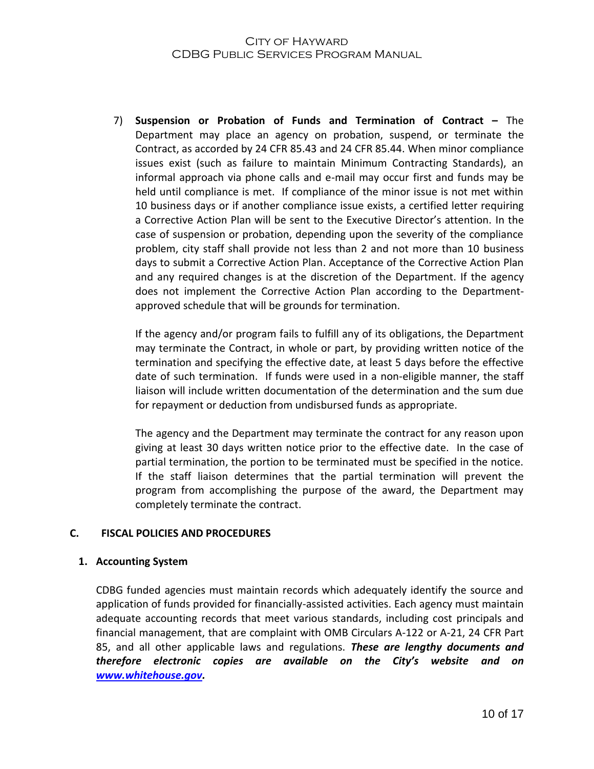7) **Suspension or Probation of Funds and Termination of Contract –** The Department may place an agency on probation, suspend, or terminate the Contract, as accorded by 24 CFR 85.43 and 24 CFR 85.44. When minor compliance issues exist (such as failure to maintain Minimum Contracting Standards), an informal approach via phone calls and e-mail may occur first and funds may be held until compliance is met. If compliance of the minor issue is not met within 10 business days or if another compliance issue exists, a certified letter requiring a Corrective Action Plan will be sent to the Executive Director's attention. In the case of suspension or probation, depending upon the severity of the compliance problem, city staff shall provide not less than 2 and not more than 10 business days to submit a Corrective Action Plan. Acceptance of the Corrective Action Plan and any required changes is at the discretion of the Department. If the agency does not implement the Corrective Action Plan according to the Departmentapproved schedule that will be grounds for termination.

If the agency and/or program fails to fulfill any of its obligations, the Department may terminate the Contract, in whole or part, by providing written notice of the termination and specifying the effective date, at least 5 days before the effective date of such termination. If funds were used in a non-eligible manner, the staff liaison will include written documentation of the determination and the sum due for repayment or deduction from undisbursed funds as appropriate.

The agency and the Department may terminate the contract for any reason upon giving at least 30 days written notice prior to the effective date. In the case of partial termination, the portion to be terminated must be specified in the notice. If the staff liaison determines that the partial termination will prevent the program from accomplishing the purpose of the award, the Department may completely terminate the contract.

#### **C. FISCAL POLICIES AND PROCEDURES**

#### **1. Accounting System**

CDBG funded agencies must maintain records which adequately identify the source and application of funds provided for financially-assisted activities. Each agency must maintain adequate accounting records that meet various standards, including cost principals and financial management, that are complaint with OMB Circulars A-122 or A-21, 24 CFR Part 85, and all other applicable laws and regulations. *These are lengthy documents and therefore electronic copies are available on the City's website and on [www.whitehouse.gov.](http://www.whitehouse.gov/)*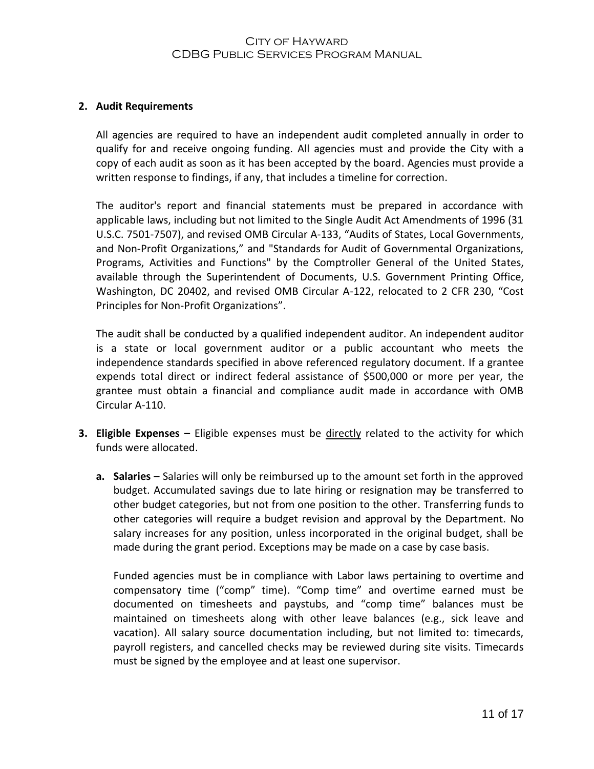#### **2. Audit Requirements**

All agencies are required to have an independent audit completed annually in order to qualify for and receive ongoing funding. All agencies must and provide the City with a copy of each audit as soon as it has been accepted by the board. Agencies must provide a written response to findings, if any, that includes a timeline for correction.

The auditor's report and financial statements must be prepared in accordance with applicable laws, including but not limited to the Single Audit Act Amendments of 1996 (31 U.S.C. 7501-7507), and revised OMB Circular A-133, "Audits of States, Local Governments, and Non-Profit Organizations," and "Standards for Audit of Governmental Organizations, Programs, Activities and Functions" by the Comptroller General of the United States, available through the Superintendent of Documents, U.S. Government Printing Office, Washington, DC 20402, and revised OMB Circular A-122, relocated to 2 CFR 230, "Cost Principles for Non-Profit Organizations".

The audit shall be conducted by a qualified independent auditor. An independent auditor is a state or local government auditor or a public accountant who meets the independence standards specified in above referenced regulatory document. If a grantee expends total direct or indirect federal assistance of \$500,000 or more per year, the grantee must obtain a financial and compliance audit made in accordance with OMB Circular A-110.

- **3. Eligible Expenses –** Eligible expenses must be directly related to the activity for which funds were allocated.
	- **a. Salaries** Salaries will only be reimbursed up to the amount set forth in the approved budget. Accumulated savings due to late hiring or resignation may be transferred to other budget categories, but not from one position to the other. Transferring funds to other categories will require a budget revision and approval by the Department. No salary increases for any position, unless incorporated in the original budget, shall be made during the grant period. Exceptions may be made on a case by case basis.

Funded agencies must be in compliance with Labor laws pertaining to overtime and compensatory time ("comp" time). "Comp time" and overtime earned must be documented on timesheets and paystubs, and "comp time" balances must be maintained on timesheets along with other leave balances (e.g., sick leave and vacation). All salary source documentation including, but not limited to: timecards, payroll registers, and cancelled checks may be reviewed during site visits. Timecards must be signed by the employee and at least one supervisor.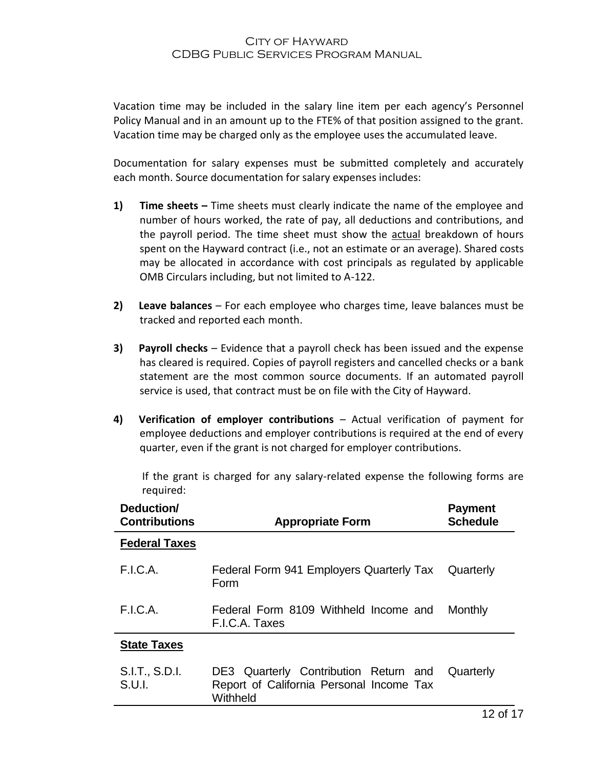Vacation time may be included in the salary line item per each agency's Personnel Policy Manual and in an amount up to the FTE% of that position assigned to the grant. Vacation time may be charged only as the employee uses the accumulated leave.

Documentation for salary expenses must be submitted completely and accurately each month. Source documentation for salary expenses includes:

- **1) Time sheets –** Time sheets must clearly indicate the name of the employee and number of hours worked, the rate of pay, all deductions and contributions, and the payroll period. The time sheet must show the actual breakdown of hours spent on the Hayward contract (i.e., not an estimate or an average). Shared costs may be allocated in accordance with cost principals as regulated by applicable OMB Circulars including, but not limited to A-122.
- **2) Leave balances** For each employee who charges time, leave balances must be tracked and reported each month.
- **3) Payroll checks** Evidence that a payroll check has been issued and the expense has cleared is required. Copies of payroll registers and cancelled checks or a bank statement are the most common source documents. If an automated payroll service is used, that contract must be on file with the City of Hayward.
- **4) Verification of employer contributions** Actual verification of payment for employee deductions and employer contributions is required at the end of every quarter, even if the grant is not charged for employer contributions.

If the grant is charged for any salary-related expense the following forms are required:

| Deduction/<br><b>Contributions</b> | <b>Appropriate Form</b>                                                                       | <b>Payment</b><br><b>Schedule</b> |  |
|------------------------------------|-----------------------------------------------------------------------------------------------|-----------------------------------|--|
| <b>Federal Taxes</b>               |                                                                                               |                                   |  |
| F.I.C.A.                           | Federal Form 941 Employers Quarterly Tax<br>Form                                              | Quarterly                         |  |
| F.I.C.A.                           | Federal Form 8109 Withheld Income and<br>F.I.C.A. Taxes                                       | Monthly                           |  |
| <b>State Taxes</b>                 |                                                                                               |                                   |  |
| S.I.T., S.D.I.<br>S.U.l.           | DE3 Quarterly Contribution Return and<br>Report of California Personal Income Tax<br>Withheld | Quarterly                         |  |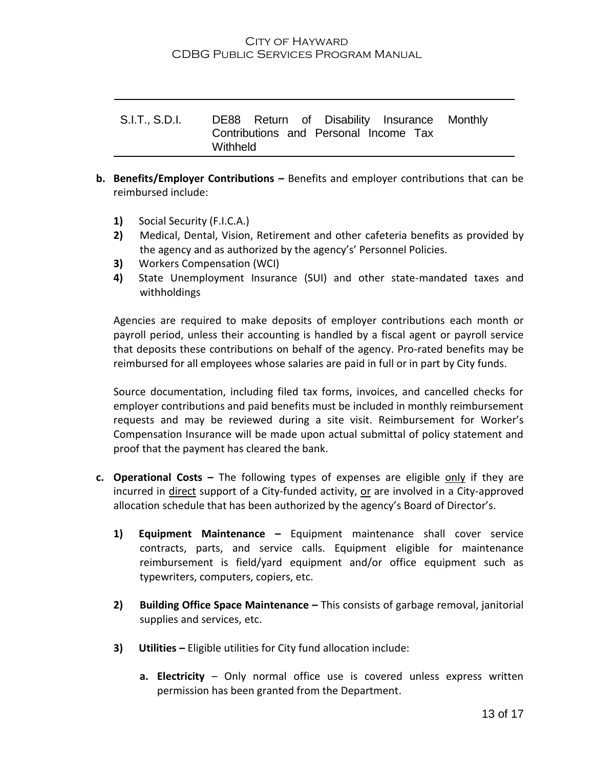S.I.T., S.D.I. DE88 Return of Disability Insurance Contributions and Personal Income Tax **Withheld Monthly** 

- **b.** Benefits/Employer Contributions Benefits and employer contributions that can be reimbursed include:
	- **1)** Social Security (F.I.C.A.)
	- **2)** Medical, Dental, Vision, Retirement and other cafeteria benefits as provided by the agency and as authorized by the agency's' Personnel Policies.
	- **3)** Workers Compensation (WCI)
	- **4)** State Unemployment Insurance (SUI) and other state-mandated taxes and withholdings

Agencies are required to make deposits of employer contributions each month or payroll period, unless their accounting is handled by a fiscal agent or payroll service that deposits these contributions on behalf of the agency. Pro-rated benefits may be reimbursed for all employees whose salaries are paid in full or in part by City funds.

Source documentation, including filed tax forms, invoices, and cancelled checks for employer contributions and paid benefits must be included in monthly reimbursement requests and may be reviewed during a site visit. Reimbursement for Worker's Compensation Insurance will be made upon actual submittal of policy statement and proof that the payment has cleared the bank.

- **c. Operational Costs –** The following types of expenses are eligible only if they are incurred in direct support of a City-funded activity, or are involved in a City-approved allocation schedule that has been authorized by the agency's Board of Director's.
	- **1) Equipment Maintenance –** Equipment maintenance shall cover service contracts, parts, and service calls. Equipment eligible for maintenance reimbursement is field/yard equipment and/or office equipment such as typewriters, computers, copiers, etc.
	- **2) Building Office Space Maintenance –** This consists of garbage removal, janitorial supplies and services, etc.
	- **3) Utilities –** Eligible utilities for City fund allocation include:
		- **a. Electricity** Only normal office use is covered unless express written permission has been granted from the Department.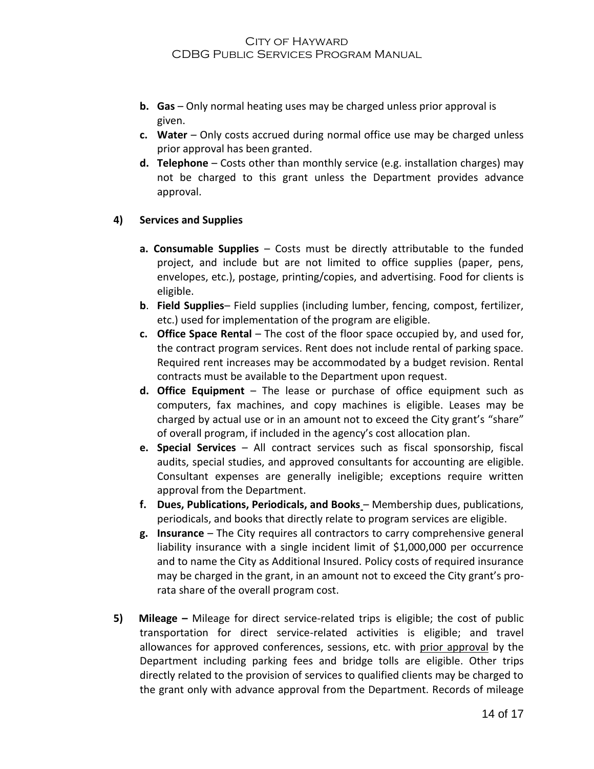- **b. Gas** Only normal heating uses may be charged unless prior approval is given.
- **c. Water**  Only costs accrued during normal office use may be charged unless prior approval has been granted.
- **d. Telephone** Costs other than monthly service (e.g. installation charges) may not be charged to this grant unless the Department provides advance approval.

#### **4) Services and Supplies**

- **a. Consumable Supplies** Costs must be directly attributable to the funded project, and include but are not limited to office supplies (paper, pens, envelopes, etc.), postage, printing/copies, and advertising. Food for clients is eligible.
- **b**. **Field Supplies** Field supplies (including lumber, fencing, compost, fertilizer, etc.) used for implementation of the program are eligible.
- **c. Office Space Rental**  The cost of the floor space occupied by, and used for, the contract program services. Rent does not include rental of parking space. Required rent increases may be accommodated by a budget revision. Rental contracts must be available to the Department upon request.
- **d. Office Equipment** The lease or purchase of office equipment such as computers, fax machines, and copy machines is eligible. Leases may be charged by actual use or in an amount not to exceed the City grant's "share" of overall program, if included in the agency's cost allocation plan.
- **e. Special Services** All contract services such as fiscal sponsorship, fiscal audits, special studies, and approved consultants for accounting are eligible. Consultant expenses are generally ineligible; exceptions require written approval from the Department.
- **f. Dues, Publications, Periodicals, and Books** Membership dues, publications, periodicals, and books that directly relate to program services are eligible.
- **g. Insurance** The City requires all contractors to carry comprehensive general liability insurance with a single incident limit of \$1,000,000 per occurrence and to name the City as Additional Insured. Policy costs of required insurance may be charged in the grant, in an amount not to exceed the City grant's prorata share of the overall program cost.
- **5) Mileage –** Mileage for direct service-related trips is eligible; the cost of public transportation for direct service-related activities is eligible; and travel allowances for approved conferences, sessions, etc. with prior approval by the Department including parking fees and bridge tolls are eligible. Other trips directly related to the provision of services to qualified clients may be charged to the grant only with advance approval from the Department. Records of mileage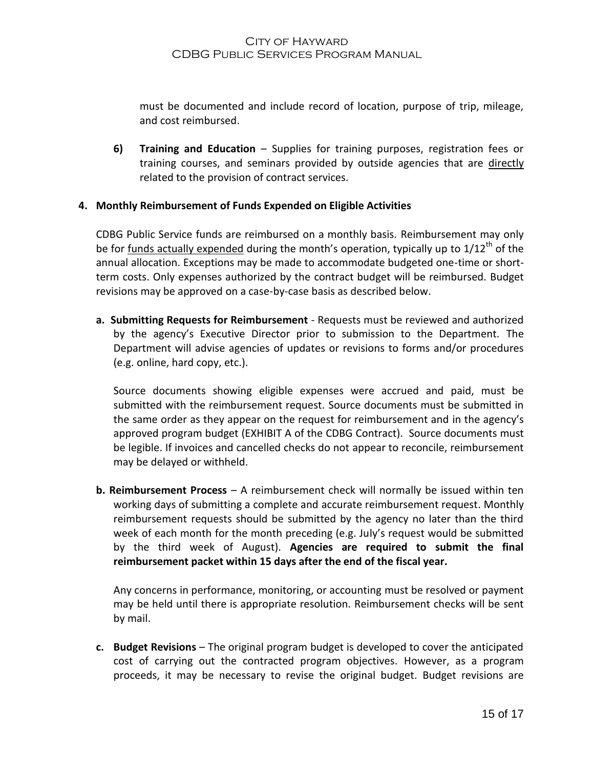must be documented and include record of location, purpose of trip, mileage, and cost reimbursed.

**6) Training and Education** – Supplies for training purposes, registration fees or training courses, and seminars provided by outside agencies that are directly related to the provision of contract services.

#### **4. Monthly Reimbursement of Funds Expended on Eligible Activities**

CDBG Public Service funds are reimbursed on a monthly basis. Reimbursement may only be for funds actually expended during the month's operation, typically up to 1/12<sup>th</sup> of the annual allocation. Exceptions may be made to accommodate budgeted one-time or shortterm costs. Only expenses authorized by the contract budget will be reimbursed. Budget revisions may be approved on a case-by-case basis as described below.

**a. Submitting Requests for Reimbursement** - Requests must be reviewed and authorized by the agency's Executive Director prior to submission to the Department. The Department will advise agencies of updates or revisions to forms and/or procedures (e.g. online, hard copy, etc.).

Source documents showing eligible expenses were accrued and paid, must be submitted with the reimbursement request. Source documents must be submitted in the same order as they appear on the request for reimbursement and in the agency's approved program budget (EXHIBIT A of the CDBG Contract). Source documents must be legible. If invoices and cancelled checks do not appear to reconcile, reimbursement may be delayed or withheld.

**b. Reimbursement Process** – A reimbursement check will normally be issued within ten working days of submitting a complete and accurate reimbursement request. Monthly reimbursement requests should be submitted by the agency no later than the third week of each month for the month preceding (e.g. July's request would be submitted by the third week of August). **Agencies are required to submit the final reimbursement packet within 15 days after the end of the fiscal year.**

Any concerns in performance, monitoring, or accounting must be resolved or payment may be held until there is appropriate resolution. Reimbursement checks will be sent by mail.

**c. Budget Revisions** – The original program budget is developed to cover the anticipated cost of carrying out the contracted program objectives. However, as a program proceeds, it may be necessary to revise the original budget. Budget revisions are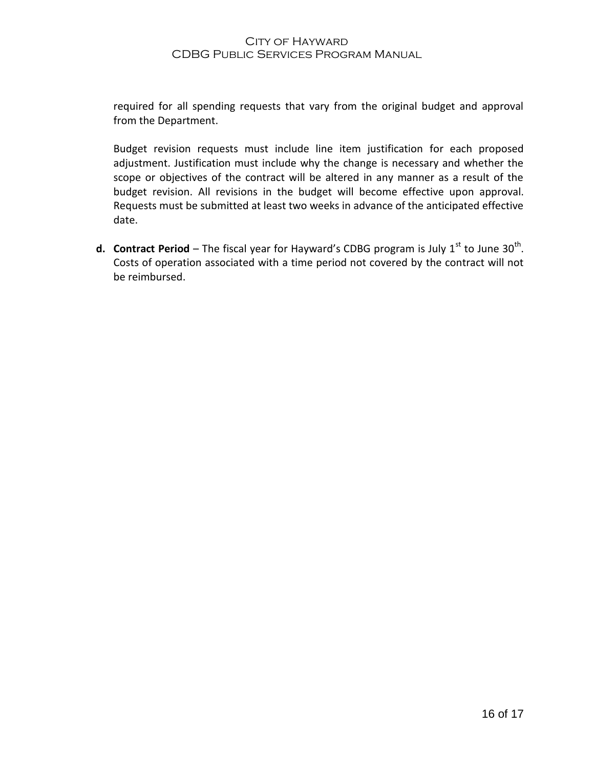required for all spending requests that vary from the original budget and approval from the Department.

Budget revision requests must include line item justification for each proposed adjustment. Justification must include why the change is necessary and whether the scope or objectives of the contract will be altered in any manner as a result of the budget revision. All revisions in the budget will become effective upon approval. Requests must be submitted at least two weeks in advance of the anticipated effective date.

**d. Contract Period** – The fiscal year for Hayward's CDBG program is July 1<sup>st</sup> to June 30<sup>th</sup>. Costs of operation associated with a time period not covered by the contract will not be reimbursed.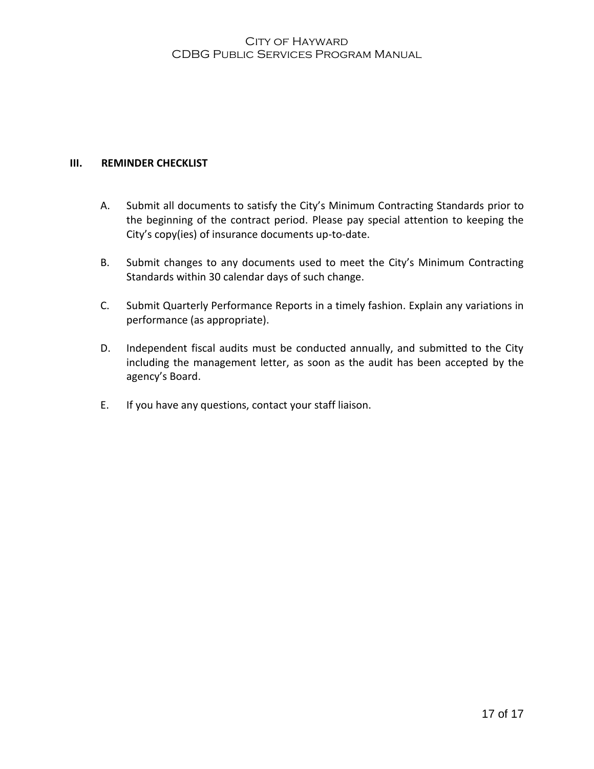#### **III. REMINDER CHECKLIST**

- A. Submit all documents to satisfy the City's Minimum Contracting Standards prior to the beginning of the contract period. Please pay special attention to keeping the City's copy(ies) of insurance documents up-to-date.
- B. Submit changes to any documents used to meet the City's Minimum Contracting Standards within 30 calendar days of such change.
- C. Submit Quarterly Performance Reports in a timely fashion. Explain any variations in performance (as appropriate).
- D. Independent fiscal audits must be conducted annually, and submitted to the City including the management letter, as soon as the audit has been accepted by the agency's Board.
- E. If you have any questions, contact your staff liaison.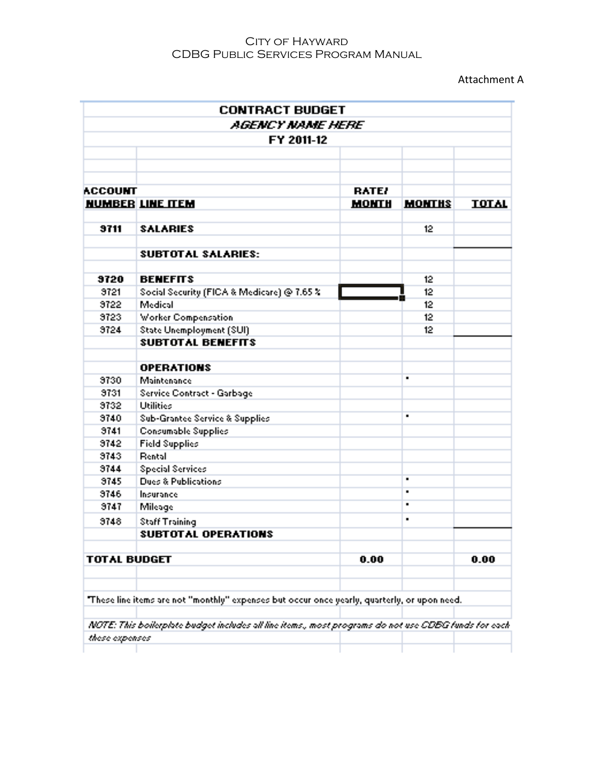Attachment A

|                     | AGENCY NAME HERE                                                                                    |              |                |              |
|---------------------|-----------------------------------------------------------------------------------------------------|--------------|----------------|--------------|
|                     | FY 2011-12                                                                                          |              |                |              |
|                     |                                                                                                     |              |                |              |
|                     |                                                                                                     |              |                |              |
| <b>ACCOUNT</b>      |                                                                                                     | <b>RATE!</b> |                |              |
|                     | <b>NUMBER LINE ITEM</b>                                                                             | <b>MONTH</b> | <b>MONTHS</b>  | <b>TOTAL</b> |
|                     |                                                                                                     |              |                |              |
| 9711                | <b>SALARIES</b>                                                                                     |              | 12             |              |
|                     | <b>SUBTOTAL SALARIES:</b>                                                                           |              |                |              |
| 9720                | <b>BENEFITS</b>                                                                                     |              | 12             |              |
| 3721                | Social Security (FICA & Medicare) @ 7.65 %                                                          |              | 12             |              |
| 3722                | Medical                                                                                             |              | 12             |              |
| 9723                | <b>Worker Compensation</b>                                                                          |              | 12             |              |
| 9724                | <b>State Unemployment (SUI)</b>                                                                     |              | 12             |              |
|                     | <b>SUBTOTAL BENEFITS</b>                                                                            |              |                |              |
|                     | <b>OPERATIONS</b>                                                                                   |              |                |              |
| 9730                | Maintenance                                                                                         |              | $\blacksquare$ |              |
| 9731                | Service Contract - Garbage                                                                          |              |                |              |
| 3732                | <b>Utilities</b>                                                                                    |              |                |              |
| 9740                | <b>Sub-Grantee Service &amp; Supplies</b>                                                           |              |                |              |
| 9741                | <b>Consumable Supplies</b>                                                                          |              |                |              |
| 3742                | <b>Field Supplies</b>                                                                               |              |                |              |
| 9743                | <b>Rental</b>                                                                                       |              |                |              |
| 9744                | <b>Special Services</b>                                                                             |              |                |              |
| 9745                | <b>Dues &amp; Publications</b>                                                                      |              | $\blacksquare$ |              |
| 9746                | Insurance                                                                                           |              | $\blacksquare$ |              |
| 9747                | Mileage                                                                                             |              | $\blacksquare$ |              |
| 9748                | <b>Staff Training</b>                                                                               |              |                |              |
|                     | <b>SUBTOTAL OPERATIONS</b>                                                                          |              |                |              |
| <b>TOTAL BUDGET</b> |                                                                                                     | 0.00         |                | 0.00         |
|                     |                                                                                                     |              |                |              |
|                     | "These line items are not "monthly" expenses but occur once yearly, quarterly, or upon need.        |              |                |              |
|                     | NOTE: This boilerplate budget includes all line items, most programs do not use CDBG funds for each |              |                |              |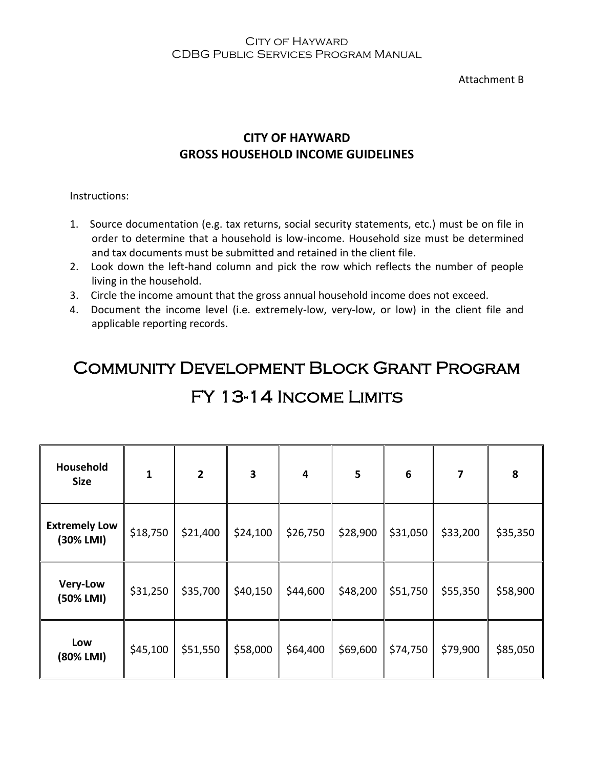Attachment B

### **CITY OF HAYWARD GROSS HOUSEHOLD INCOME GUIDELINES**

Instructions:

- 1. Source documentation (e.g. tax returns, social security statements, etc.) must be on file in order to determine that a household is low-income. Household size must be determined and tax documents must be submitted and retained in the client file.
- 2. Look down the left-hand column and pick the row which reflects the number of people living in the household.
- 3. Circle the income amount that the gross annual household income does not exceed.
- 4. Document the income level (i.e. extremely-low, very-low, or low) in the client file and applicable reporting records.

## Community Development Block Grant Program

| Household<br><b>Size</b>          | $\mathbf{1}$ | $\mathbf{2}$ | 3        | $\overline{\mathbf{4}}$ | 5        | $\boldsymbol{6}$ | $\overline{\mathbf{z}}$ | 8        |
|-----------------------------------|--------------|--------------|----------|-------------------------|----------|------------------|-------------------------|----------|
| <b>Extremely Low</b><br>(30% LMI) | \$18,750     | \$21,400     | \$24,100 | \$26,750                | \$28,900 | \$31,050         | \$33,200                | \$35,350 |
| <b>Very-Low</b><br>(50% LMI)      | \$31,250     | \$35,700     | \$40,150 | \$44,600                | \$48,200 | \$51,750         | \$55,350                | \$58,900 |
| Low<br>(80% LMI)                  | \$45,100     | \$51,550     | \$58,000 | \$64,400                | \$69,600 | \$74,750         | \$79,900                | \$85,050 |
|                                   |              |              |          |                         |          |                  |                         |          |

## FY 13-14 Income Limits